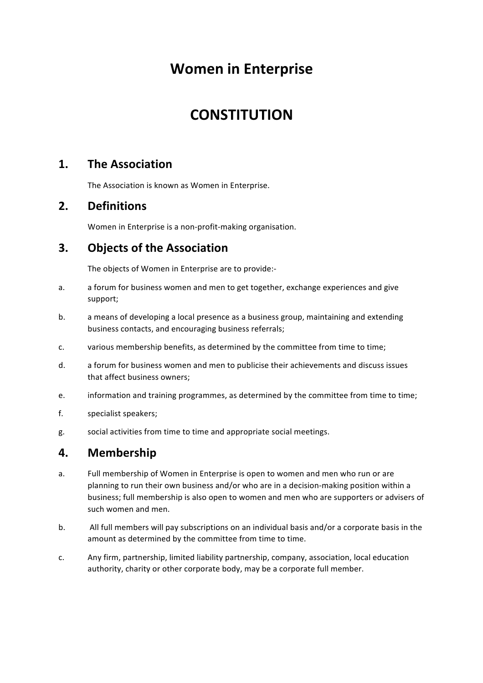# **Women in Enterprise**

# **CONSTITUTION**

# 1. The Association

The Association is known as Women in Enterprise.

# **2. Definitions**

Women in Enterprise is a non-profit-making organisation.

# **3.** Objects of the Association

The objects of Women in Enterprise are to provide:-

- a. a forum for business women and men to get together, exchange experiences and give support;
- b. a means of developing a local presence as a business group, maintaining and extending business contacts, and encouraging business referrals;
- c. various membership benefits, as determined by the committee from time to time;
- d. a forum for business women and men to publicise their achievements and discuss issues that affect business owners;
- e. information and training programmes, as determined by the committee from time to time;
- f. specialist speakers;
- g. social activities from time to time and appropriate social meetings.

#### **4. Membership**

- a. Full membership of Women in Enterprise is open to women and men who run or are planning to run their own business and/or who are in a decision-making position within a business; full membership is also open to women and men who are supporters or advisers of such women and men.
- b. All full members will pay subscriptions on an individual basis and/or a corporate basis in the amount as determined by the committee from time to time.
- c. Any firm, partnership, limited liability partnership, company, association, local education authority, charity or other corporate body, may be a corporate full member.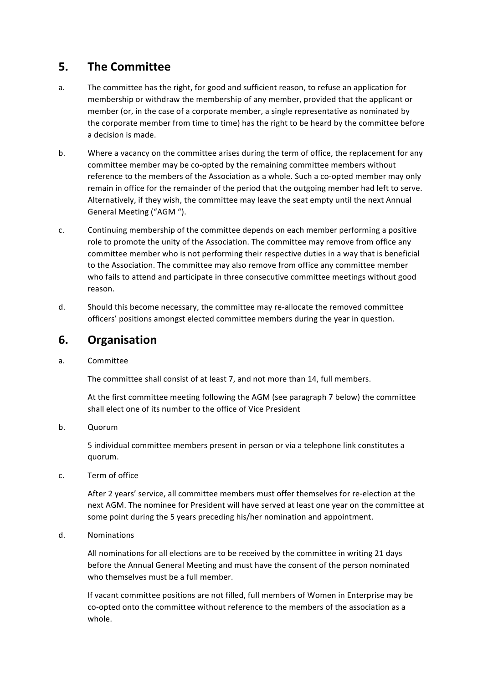# **5. The Committee**

- a. The committee has the right, for good and sufficient reason, to refuse an application for membership or withdraw the membership of any member, provided that the applicant or member (or, in the case of a corporate member, a single representative as nominated by the corporate member from time to time) has the right to be heard by the committee before a decision is made.
- b. Where a vacancy on the committee arises during the term of office, the replacement for any committee member may be co-opted by the remaining committee members without reference to the members of the Association as a whole. Such a co-opted member may only remain in office for the remainder of the period that the outgoing member had left to serve. Alternatively, if they wish, the committee may leave the seat empty until the next Annual General Meeting ("AGM ").
- c. Continuing membership of the committee depends on each member performing a positive role to promote the unity of the Association. The committee may remove from office any committee member who is not performing their respective duties in a way that is beneficial to the Association. The committee may also remove from office any committee member who fails to attend and participate in three consecutive committee meetings without good reason.
- d. Should this become necessary, the committee may re-allocate the removed committee officers' positions amongst elected committee members during the year in question.

# **6. Organisation**

a. Committee

The committee shall consist of at least 7, and not more than 14, full members.

At the first committee meeting following the AGM (see paragraph 7 below) the committee shall elect one of its number to the office of Vice President

b. Quorum

5 individual committee members present in person or via a telephone link constitutes a quorum.

c. Term of office

After 2 years' service, all committee members must offer themselves for re-election at the next AGM. The nominee for President will have served at least one year on the committee at some point during the 5 years preceding his/her nomination and appointment.

d. Nominations

All nominations for all elections are to be received by the committee in writing 21 days before the Annual General Meeting and must have the consent of the person nominated who themselves must be a full member.

If vacant committee positions are not filled, full members of Women in Enterprise may be co-opted onto the committee without reference to the members of the association as a whole.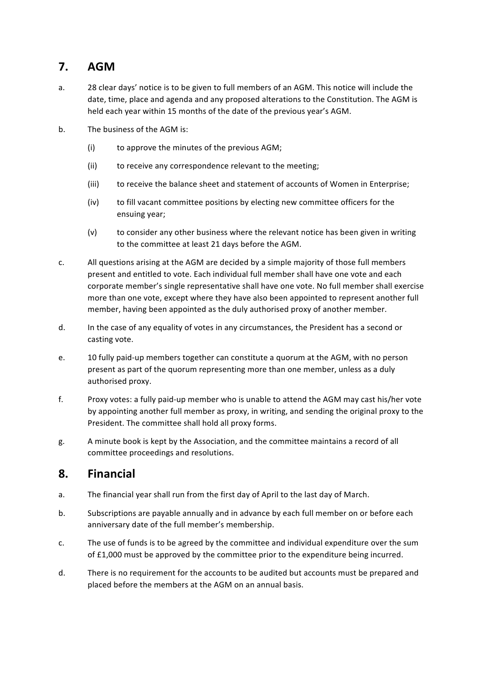# **7. AGM**

- a. 28 clear days' notice is to be given to full members of an AGM. This notice will include the date, time, place and agenda and any proposed alterations to the Constitution. The AGM is held each year within 15 months of the date of the previous year's AGM.
- b. The business of the AGM is:
	- $(i)$  to approve the minutes of the previous AGM;
	- (ii) to receive any correspondence relevant to the meeting;
	- (iii) to receive the balance sheet and statement of accounts of Women in Enterprise;
	- (iv) to fill vacant committee positions by electing new committee officers for the ensuing year;
	- (v) to consider any other business where the relevant notice has been given in writing to the committee at least 21 days before the AGM.
- c. All questions arising at the AGM are decided by a simple majority of those full members present and entitled to vote. Each individual full member shall have one vote and each corporate member's single representative shall have one vote. No full member shall exercise more than one vote, except where they have also been appointed to represent another full member, having been appointed as the duly authorised proxy of another member.
- d. In the case of any equality of votes in any circumstances, the President has a second or casting vote.
- e. 10 fully paid-up members together can constitute a quorum at the AGM, with no person present as part of the quorum representing more than one member, unless as a duly authorised proxy.
- f. Proxy votes: a fully paid-up member who is unable to attend the AGM may cast his/her vote by appointing another full member as proxy, in writing, and sending the original proxy to the President. The committee shall hold all proxy forms.
- g. A minute book is kept by the Association, and the committee maintains a record of all committee proceedings and resolutions.

# **8. Financial**

- a. The financial year shall run from the first day of April to the last day of March.
- b. Subscriptions are payable annually and in advance by each full member on or before each anniversary date of the full member's membership.
- c. The use of funds is to be agreed by the committee and individual expenditure over the sum of  $£1,000$  must be approved by the committee prior to the expenditure being incurred.
- d. There is no requirement for the accounts to be audited but accounts must be prepared and placed before the members at the AGM on an annual basis.